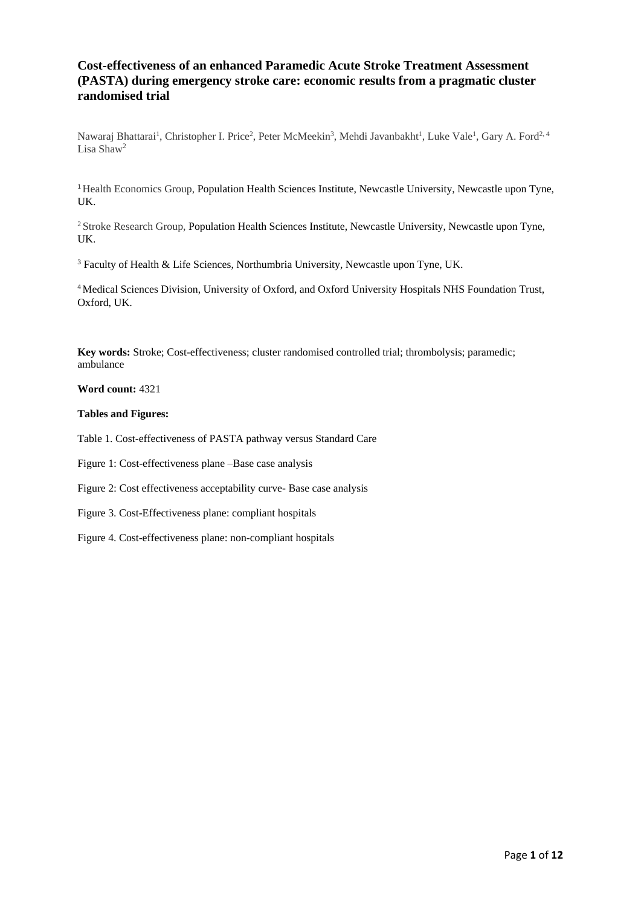## **Cost-effectiveness of an enhanced Paramedic Acute Stroke Treatment Assessment (PASTA) during emergency stroke care: economic results from a pragmatic cluster randomised trial**

Nawaraj Bhattarai<sup>1</sup>, Christopher I. Price<sup>2</sup>, Peter McMeekin<sup>3</sup>, Mehdi Javanbakht<sup>1</sup>, Luke Vale<sup>1</sup>, Gary A. Ford<sup>2, 4</sup> Lisa Shaw<sup>2</sup>

<sup>1</sup> Health Economics Group, Population Health Sciences Institute, Newcastle University, Newcastle upon Tyne, UK.

<sup>2</sup> Stroke Research Group, Population Health Sciences Institute, Newcastle University, Newcastle upon Tyne, UK.

<sup>3</sup> Faculty of Health & Life Sciences, Northumbria University, Newcastle upon Tyne, UK.

<sup>4</sup>Medical Sciences Division, University of Oxford, and Oxford University Hospitals NHS Foundation Trust, Oxford, UK.

**Key words:** Stroke; Cost-effectiveness; cluster randomised controlled trial; thrombolysis; paramedic; ambulance

## **Word count:** 4321

## **Tables and Figures:**

Table 1. Cost-effectiveness of PASTA pathway versus Standard Care

Figure 1: Cost-effectiveness plane –Base case analysis

Figure 2: Cost effectiveness acceptability curve- Base case analysis

Figure 3. Cost-Effectiveness plane: compliant hospitals

Figure 4. Cost-effectiveness plane: non-compliant hospitals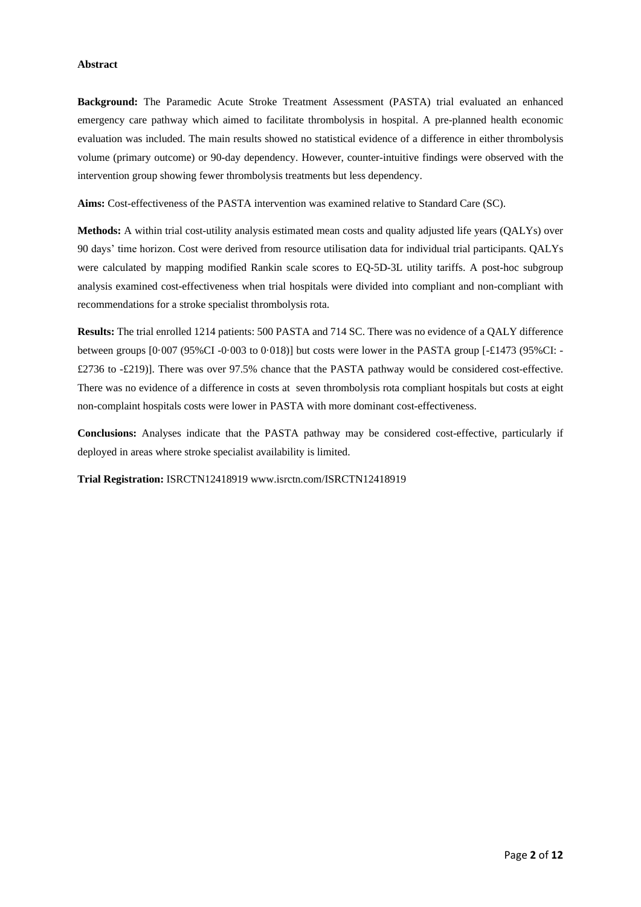#### **Abstract**

**Background:** The Paramedic Acute Stroke Treatment Assessment (PASTA) trial evaluated an enhanced emergency care pathway which aimed to facilitate thrombolysis in hospital. A pre-planned health economic evaluation was included. The main results showed no statistical evidence of a difference in either thrombolysis volume (primary outcome) or 90-day dependency. However, counter-intuitive findings were observed with the intervention group showing fewer thrombolysis treatments but less dependency.

**Aims:** Cost-effectiveness of the PASTA intervention was examined relative to Standard Care (SC).

**Methods:** A within trial cost-utility analysis estimated mean costs and quality adjusted life years (QALYs) over 90 days' time horizon. Cost were derived from resource utilisation data for individual trial participants. QALYs were calculated by mapping modified Rankin scale scores to EQ-5D-3L utility tariffs. A post-hoc subgroup analysis examined cost-effectiveness when trial hospitals were divided into compliant and non-compliant with recommendations for a stroke specialist thrombolysis rota.

**Results:** The trial enrolled 1214 patients: 500 PASTA and 714 SC. There was no evidence of a QALY difference between groups  $[0.007 \, (95\%CI - 0.003 \, \text{to } 0.018)]$  but costs were lower in the PASTA group  $[-£1473 \, (95\%CI - 0.003 \, \text{to } 0.018)]$ £2736 to -£219)]. There was over 97.5% chance that the PASTA pathway would be considered cost-effective. There was no evidence of a difference in costs at seven thrombolysis rota compliant hospitals but costs at eight non-complaint hospitals costs were lower in PASTA with more dominant cost-effectiveness.

**Conclusions:** Analyses indicate that the PASTA pathway may be considered cost-effective, particularly if deployed in areas where stroke specialist availability is limited.

**Trial Registration:** ISRCTN12418919 www.isrctn.com/ISRCTN12418919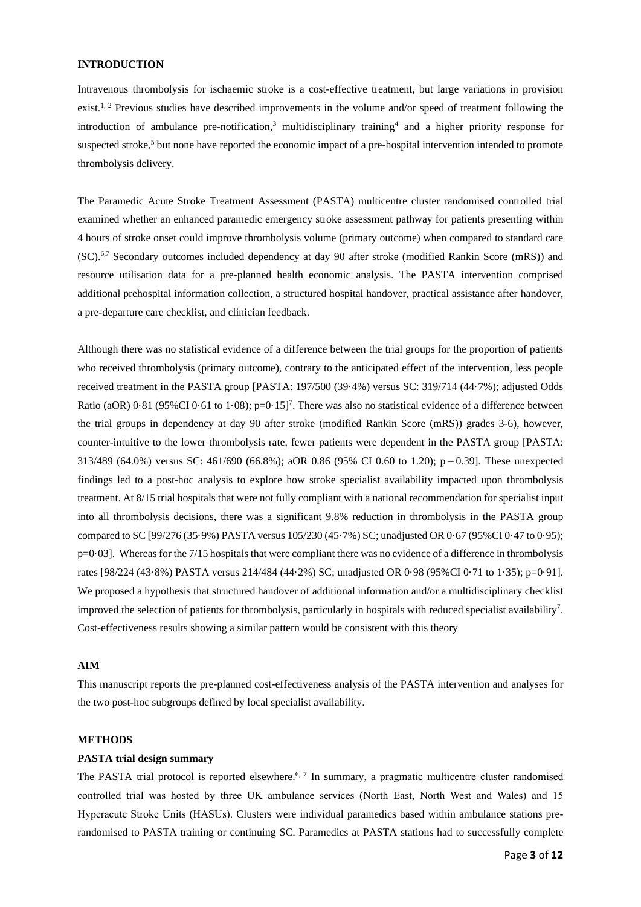### **INTRODUCTION**

Intravenous thrombolysis for ischaemic stroke is a cost-effective treatment, but large variations in provision exist.<sup>1, 2</sup> Previous studies have described improvements in the volume and/or speed of treatment following the introduction of ambulance pre-notification, <sup>3</sup> multidisciplinary training<sup>4</sup> and a higher priority response for suspected stroke,<sup>5</sup> but none have reported the economic impact of a pre-hospital intervention intended to promote thrombolysis delivery.

The Paramedic Acute Stroke Treatment Assessment (PASTA) multicentre cluster randomised controlled trial examined whether an enhanced paramedic emergency stroke assessment pathway for patients presenting within 4 hours of stroke onset could improve thrombolysis volume (primary outcome) when compared to standard care (SC).6,7 Secondary outcomes included dependency at day 90 after stroke (modified Rankin Score (mRS)) and resource utilisation data for a pre-planned health economic analysis. The PASTA intervention comprised additional prehospital information collection, a structured hospital handover, practical assistance after handover, a pre-departure care checklist, and clinician feedback.

Although there was no statistical evidence of a difference between the trial groups for the proportion of patients who received thrombolysis (primary outcome), contrary to the anticipated effect of the intervention, less people received treatment in the PASTA group [PASTA: 197/500 (39·4%) versus SC: 319/714 (44·7%); adjusted Odds Ratio (aOR)  $0.81$  (95%CI  $0.61$  to 1 $.08$ ); p=0 $.15$ ]<sup>7</sup>. There was also no statistical evidence of a difference between the trial groups in dependency at day 90 after stroke (modified Rankin Score (mRS)) grades 3-6), however, counter-intuitive to the lower thrombolysis rate, fewer patients were dependent in the PASTA group [PASTA: 313/489 (64.0%) versus SC: 461/690 (66.8%); aOR 0.86 (95% CI 0.60 to 1.20); p = 0.39]. These unexpected findings led to a post-hoc analysis to explore how stroke specialist availability impacted upon thrombolysis treatment. At 8/15 trial hospitals that were not fully compliant with a national recommendation for specialist input into all thrombolysis decisions, there was a significant 9.8% reduction in thrombolysis in the PASTA group compared to SC [99/276 (35·9%) PASTA versus 105/230 (45·7%) SC; unadjusted OR 0·67 (95%CI 0·47 to 0·95); p=0·03]. Whereas for the 7/15 hospitals that were compliant there was no evidence of a difference in thrombolysis rates [98/224 (43·8%) PASTA versus 214/484 (44·2%) SC; unadjusted OR 0·98 (95%CI 0·71 to 1·35); p=0·91]. We proposed a hypothesis that structured handover of additional information and/or a multidisciplinary checklist improved the selection of patients for thrombolysis, particularly in hospitals with reduced specialist availability<sup>7</sup> . Cost-effectiveness results showing a similar pattern would be consistent with this theory

## **AIM**

This manuscript reports the pre-planned cost-effectiveness analysis of the PASTA intervention and analyses for the two post-hoc subgroups defined by local specialist availability.

#### **METHODS**

#### **PASTA trial design summary**

The PASTA trial protocol is reported elsewhere.<sup>6, 7</sup> In summary, a pragmatic multicentre cluster randomised controlled trial was hosted by three UK ambulance services (North East, North West and Wales) and 15 Hyperacute Stroke Units (HASUs). Clusters were individual paramedics based within ambulance stations prerandomised to PASTA training or continuing SC. Paramedics at PASTA stations had to successfully complete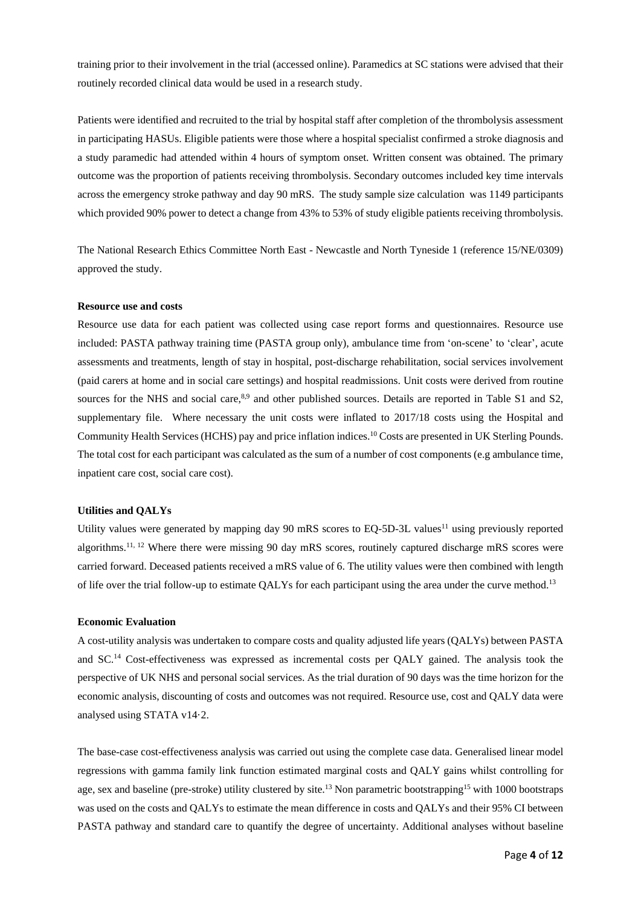training prior to their involvement in the trial (accessed online). Paramedics at SC stations were advised that their routinely recorded clinical data would be used in a research study.

Patients were identified and recruited to the trial by hospital staff after completion of the thrombolysis assessment in participating HASUs. Eligible patients were those where a hospital specialist confirmed a stroke diagnosis and a study paramedic had attended within 4 hours of symptom onset. Written consent was obtained. The primary outcome was the proportion of patients receiving thrombolysis. Secondary outcomes included key time intervals across the emergency stroke pathway and day 90 mRS. The study sample size calculation was 1149 participants which provided 90% power to detect a change from 43% to 53% of study eligible patients receiving thrombolysis.

The National Research Ethics Committee North East - Newcastle and North Tyneside 1 (reference 15/NE/0309) approved the study.

### **Resource use and costs**

Resource use data for each patient was collected using case report forms and questionnaires. Resource use included: PASTA pathway training time (PASTA group only), ambulance time from 'on-scene' to 'clear', acute assessments and treatments, length of stay in hospital, post-discharge rehabilitation, social services involvement (paid carers at home and in social care settings) and hospital readmissions. Unit costs were derived from routine sources for the NHS and social care,<sup>8,9</sup> and other published sources. Details are reported in Table S1 and S2, supplementary file. Where necessary the unit costs were inflated to 2017/18 costs using the Hospital and Community Health Services (HCHS) pay and price inflation indices. <sup>10</sup> Costs are presented in UK Sterling Pounds. The total cost for each participant was calculated as the sum of a number of cost components (e.g ambulance time, inpatient care cost, social care cost).

#### **Utilities and QALYs**

Utility values were generated by mapping day  $90$  mRS scores to EQ-5D-3L values<sup>11</sup> using previously reported algorithms.<sup>11, 12</sup> Where there were missing 90 day mRS scores, routinely captured discharge mRS scores were carried forward. Deceased patients received a mRS value of 6. The utility values were then combined with length of life over the trial follow-up to estimate QALYs for each participant using the area under the curve method.<sup>13</sup>

#### **Economic Evaluation**

A cost-utility analysis was undertaken to compare costs and quality adjusted life years (QALYs) between PASTA and SC.<sup>14</sup> Cost-effectiveness was expressed as incremental costs per QALY gained. The analysis took the perspective of UK NHS and personal social services. As the trial duration of 90 days was the time horizon for the economic analysis, discounting of costs and outcomes was not required. Resource use, cost and QALY data were analysed using STATA v14·2.

The base-case cost-effectiveness analysis was carried out using the complete case data. Generalised linear model regressions with gamma family link function estimated marginal costs and QALY gains whilst controlling for age, sex and baseline (pre-stroke) utility clustered by site.<sup>13</sup> Non parametric bootstrapping<sup>15</sup> with 1000 bootstraps was used on the costs and QALYs to estimate the mean difference in costs and QALYs and their 95% CI between PASTA pathway and standard care to quantify the degree of uncertainty. Additional analyses without baseline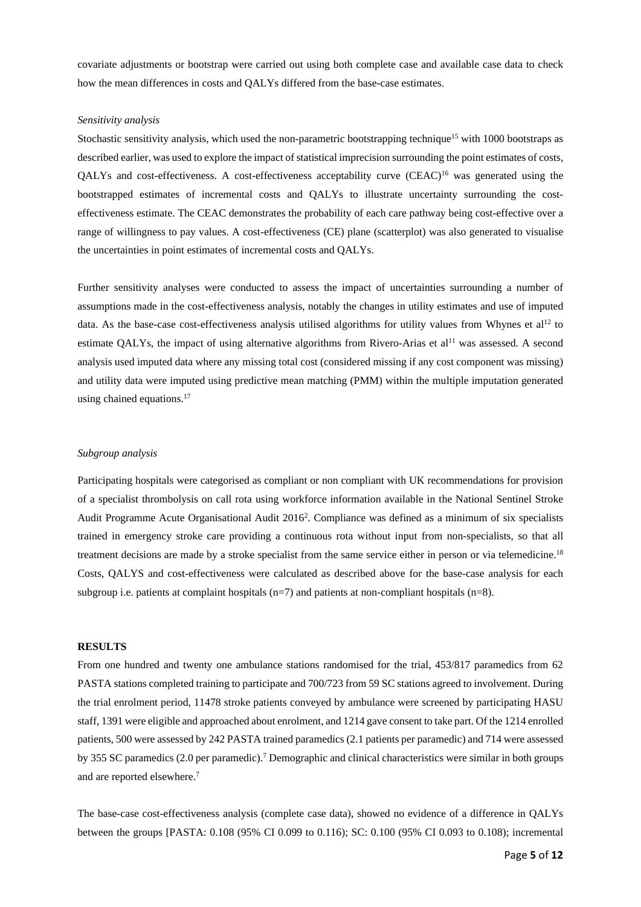covariate adjustments or bootstrap were carried out using both complete case and available case data to check how the mean differences in costs and QALYs differed from the base-case estimates.

#### *Sensitivity analysis*

Stochastic sensitivity analysis, which used the non-parametric bootstrapping technique<sup>15</sup> with 1000 bootstraps as described earlier, was used to explore the impact of statistical imprecision surrounding the point estimates of costs, QALYs and cost-effectiveness. A cost-effectiveness acceptability curve (CEAC)<sup>16</sup> was generated using the bootstrapped estimates of incremental costs and QALYs to illustrate uncertainty surrounding the costeffectiveness estimate. The CEAC demonstrates the probability of each care pathway being cost-effective over a range of willingness to pay values. A cost-effectiveness (CE) plane (scatterplot) was also generated to visualise the uncertainties in point estimates of incremental costs and QALYs.

Further sensitivity analyses were conducted to assess the impact of uncertainties surrounding a number of assumptions made in the cost-effectiveness analysis, notably the changes in utility estimates and use of imputed data. As the base-case cost-effectiveness analysis utilised algorithms for utility values from Whynes et al<sup>12</sup> to estimate QALYs, the impact of using alternative algorithms from Rivero-Arias et al<sup>11</sup> was assessed. A second analysis used imputed data where any missing total cost (considered missing if any cost component was missing) and utility data were imputed using predictive mean matching (PMM) within the multiple imputation generated using chained equations. 17

### *Subgroup analysis*

Participating hospitals were categorised as compliant or non compliant with UK recommendations for provision of a specialist thrombolysis on call rota using workforce information available in the National Sentinel Stroke Audit Programme Acute Organisational Audit 2016<sup>2</sup>. Compliance was defined as a minimum of six specialists trained in emergency stroke care providing a continuous rota without input from non-specialists, so that all treatment decisions are made by a stroke specialist from the same service either in person or via telemedicine.<sup>18</sup> Costs, QALYS and cost-effectiveness were calculated as described above for the base-case analysis for each subgroup i.e. patients at complaint hospitals  $(n=7)$  and patients at non-compliant hospitals  $(n=8)$ .

#### **RESULTS**

From one hundred and twenty one ambulance stations randomised for the trial, 453/817 paramedics from 62 PASTA stations completed training to participate and 700/723 from 59 SC stations agreed to involvement. During the trial enrolment period, 11478 stroke patients conveyed by ambulance were screened by participating HASU staff, 1391 were eligible and approached about enrolment, and 1214 gave consent to take part. Of the 1214 enrolled patients, 500 were assessed by 242 PASTA trained paramedics (2.1 patients per paramedic) and 714 were assessed by 355 SC paramedics (2.0 per paramedic).<sup>7</sup> Demographic and clinical characteristics were similar in both groups and are reported elsewhere. 7

The base-case cost-effectiveness analysis (complete case data), showed no evidence of a difference in QALYs between the groups [PASTA: 0.108 (95% CI 0.099 to 0.116); SC: 0.100 (95% CI 0.093 to 0.108); incremental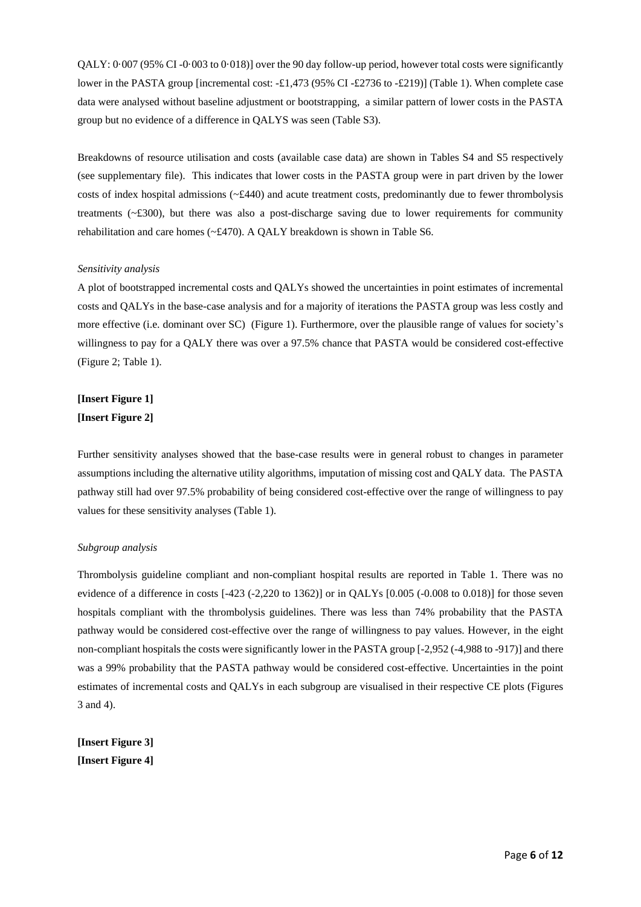QALY: 0·007 (95% CI -0·003 to 0·018)] over the 90 day follow-up period, however total costs were significantly lower in the PASTA group [incremental cost: -£1,473 (95% CI -£2736 to -£219)] (Table 1). When complete case data were analysed without baseline adjustment or bootstrapping, a similar pattern of lower costs in the PASTA group but no evidence of a difference in QALYS was seen (Table S3).

Breakdowns of resource utilisation and costs (available case data) are shown in Tables S4 and S5 respectively (see supplementary file). This indicates that lower costs in the PASTA group were in part driven by the lower costs of index hospital admissions (~£440) and acute treatment costs, predominantly due to fewer thrombolysis treatments (~£300), but there was also a post-discharge saving due to lower requirements for community rehabilitation and care homes  $(*£470)$ . A OALY breakdown is shown in Table S6.

#### *Sensitivity analysis*

A plot of bootstrapped incremental costs and QALYs showed the uncertainties in point estimates of incremental costs and QALYs in the base-case analysis and for a majority of iterations the PASTA group was less costly and more effective (i.e. dominant over SC) (Figure 1). Furthermore, over the plausible range of values for society's willingness to pay for a QALY there was over a 97.5% chance that PASTA would be considered cost-effective (Figure 2; Table 1).

# **[Insert Figure 1] [Insert Figure 2]**

Further sensitivity analyses showed that the base-case results were in general robust to changes in parameter assumptions including the alternative utility algorithms, imputation of missing cost and QALY data. The PASTA pathway still had over 97.5% probability of being considered cost-effective over the range of willingness to pay values for these sensitivity analyses (Table 1).

## *Subgroup analysis*

Thrombolysis guideline compliant and non-compliant hospital results are reported in Table 1. There was no evidence of a difference in costs [-423 (-2,220 to 1362)] or in QALYs [0.005 (-0.008 to 0.018)] for those seven hospitals compliant with the thrombolysis guidelines. There was less than 74% probability that the PASTA pathway would be considered cost-effective over the range of willingness to pay values. However, in the eight non-compliant hospitals the costs were significantly lower in the PASTA group [-2,952 (-4,988 to -917)] and there was a 99% probability that the PASTA pathway would be considered cost-effective. Uncertainties in the point estimates of incremental costs and QALYs in each subgroup are visualised in their respective CE plots (Figures 3 and 4).

**[Insert Figure 3] [Insert Figure 4]**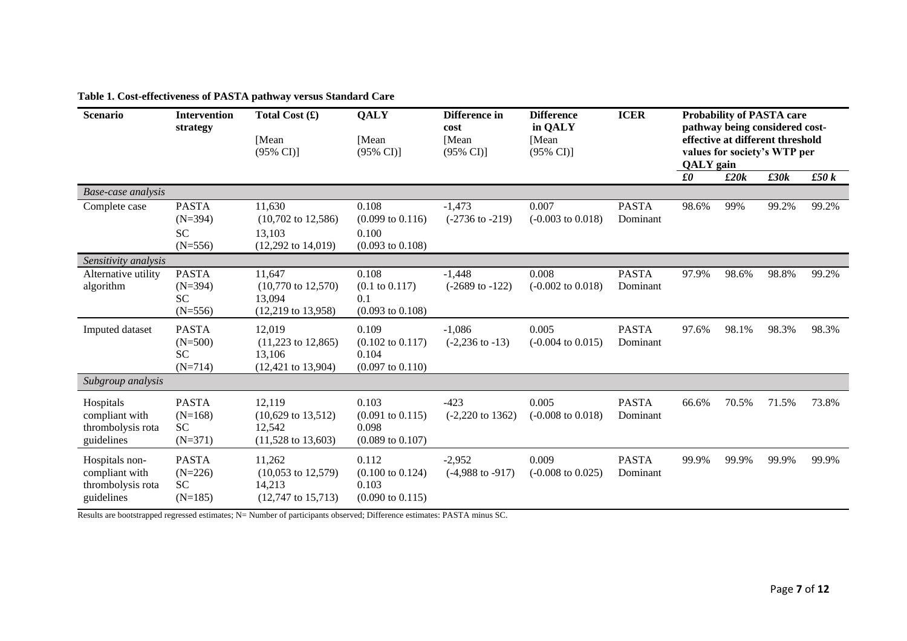**Table 1. Cost-effectiveness of PASTA pathway versus Standard Care**

| <b>Scenario</b>                                                     | <b>Intervention</b><br>strategy                     | Total Cost $(f)$<br>[Mean<br>$(95\% \text{ CI})$                                     | QALY<br>[Mean<br>$(95\% \text{ CI})$                                         | Difference in<br>cost<br>[Mean<br>$(95\% \text{ CI})$ | <b>Difference</b><br>in QALY<br>[Mean]<br>$(95\% \text{ CI})$ | <b>ICER</b>              | <b>Probability of PASTA care</b><br>pathway being considered cost-<br>effective at different threshold<br>values for society's WTP per<br><b>QALY</b> gain |       |       |       |
|---------------------------------------------------------------------|-----------------------------------------------------|--------------------------------------------------------------------------------------|------------------------------------------------------------------------------|-------------------------------------------------------|---------------------------------------------------------------|--------------------------|------------------------------------------------------------------------------------------------------------------------------------------------------------|-------|-------|-------|
|                                                                     |                                                     |                                                                                      |                                                                              |                                                       |                                                               |                          | $f_{\theta}$                                                                                                                                               | £20k  | £30k  | £50k  |
| Base-case analysis<br>Complete case                                 | <b>PASTA</b><br>$(N=394)$<br><b>SC</b><br>$(N=556)$ | 11,630<br>$(10,702 \text{ to } 12,586)$<br>13,103<br>$(12,292 \text{ to } 14,019)$   | 0.108<br>$(0.099 \text{ to } 0.116)$<br>0.100<br>$(0.093 \text{ to } 0.108)$ | $-1,473$<br>$(-2736 \text{ to } -219)$                | 0.007<br>$(-0.003 \text{ to } 0.018)$                         | <b>PASTA</b><br>Dominant | 98.6%                                                                                                                                                      | 99%   | 99.2% | 99.2% |
| Sensitivity analysis                                                |                                                     |                                                                                      |                                                                              |                                                       |                                                               |                          |                                                                                                                                                            |       |       |       |
| Alternative utility<br>algorithm                                    | <b>PASTA</b><br>$(N=394)$<br><b>SC</b><br>$(N=556)$ | 11,647<br>$(10,770 \text{ to } 12,570)$<br>13,094<br>$(12,219 \text{ to } 13,958)$   | 0.108<br>$(0.1 \text{ to } 0.117)$<br>0.1<br>$(0.093 \text{ to } 0.108)$     | $-1,448$<br>$(-2689 \text{ to } -122)$                | 0.008<br>$(-0.002 \text{ to } 0.018)$                         | <b>PASTA</b><br>Dominant | 97.9%                                                                                                                                                      | 98.6% | 98.8% | 99.2% |
| Imputed dataset                                                     | <b>PASTA</b><br>$(N=500)$<br><b>SC</b><br>$(N=714)$ | 12,019<br>$(11,223 \text{ to } 12,865)$<br>13,106<br>$(12, 421 \text{ to } 13, 904)$ | 0.109<br>$(0.102 \text{ to } 0.117)$<br>0.104<br>$(0.097 \text{ to } 0.110)$ | $-1,086$<br>$(-2,236 \text{ to } -13)$                | 0.005<br>$(-0.004 \text{ to } 0.015)$                         | <b>PASTA</b><br>Dominant | 97.6%                                                                                                                                                      | 98.1% | 98.3% | 98.3% |
| Subgroup analysis                                                   |                                                     |                                                                                      |                                                                              |                                                       |                                                               |                          |                                                                                                                                                            |       |       |       |
| Hospitals<br>compliant with<br>thrombolysis rota<br>guidelines      | <b>PASTA</b><br>$(N=168)$<br><b>SC</b><br>$(N=371)$ | 12,119<br>$(10,629 \text{ to } 13,512)$<br>12,542<br>$(11,528 \text{ to } 13,603)$   | 0.103<br>$(0.091 \text{ to } 0.115)$<br>0.098<br>$(0.089 \text{ to } 0.107)$ | $-423$<br>$(-2,220 \text{ to } 1362)$                 | 0.005<br>$(-0.008 \text{ to } 0.018)$                         | <b>PASTA</b><br>Dominant | 66.6%                                                                                                                                                      | 70.5% | 71.5% | 73.8% |
| Hospitals non-<br>compliant with<br>thrombolysis rota<br>guidelines | <b>PASTA</b><br>$(N=226)$<br><b>SC</b><br>$(N=185)$ | 11,262<br>$(10,053 \text{ to } 12,579)$<br>14,213<br>$(12,747 \text{ to } 15,713)$   | 0.112<br>$(0.100 \text{ to } 0.124)$<br>0.103<br>$(0.090 \text{ to } 0.115)$ | $-2,952$<br>$(-4,988 \text{ to } -917)$               | 0.009<br>$(-0.008 \text{ to } 0.025)$                         | <b>PASTA</b><br>Dominant | 99.9%                                                                                                                                                      | 99.9% | 99.9% | 99.9% |

Results are bootstrapped regressed estimates; N= Number of participants observed; Difference estimates: PASTA minus SC.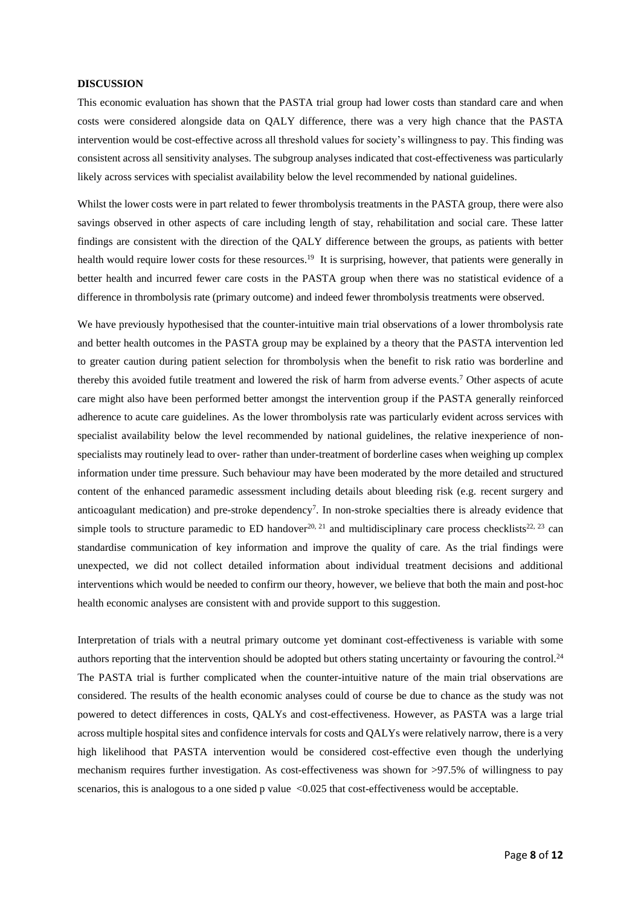#### **DISCUSSION**

This economic evaluation has shown that the PASTA trial group had lower costs than standard care and when costs were considered alongside data on QALY difference, there was a very high chance that the PASTA intervention would be cost-effective across all threshold values for society's willingness to pay. This finding was consistent across all sensitivity analyses. The subgroup analyses indicated that cost-effectiveness was particularly likely across services with specialist availability below the level recommended by national guidelines.

Whilst the lower costs were in part related to fewer thrombolysis treatments in the PASTA group, there were also savings observed in other aspects of care including length of stay, rehabilitation and social care. These latter findings are consistent with the direction of the QALY difference between the groups, as patients with better health would require lower costs for these resources.<sup>19</sup> It is surprising, however, that patients were generally in better health and incurred fewer care costs in the PASTA group when there was no statistical evidence of a difference in thrombolysis rate (primary outcome) and indeed fewer thrombolysis treatments were observed.

We have previously hypothesised that the counter-intuitive main trial observations of a lower thrombolysis rate and better health outcomes in the PASTA group may be explained by a theory that the PASTA intervention led to greater caution during patient selection for thrombolysis when the benefit to risk ratio was borderline and thereby this avoided futile treatment and lowered the risk of harm from adverse events.<sup>7</sup> Other aspects of acute care might also have been performed better amongst the intervention group if the PASTA generally reinforced adherence to acute care guidelines. As the lower thrombolysis rate was particularly evident across services with specialist availability below the level recommended by national guidelines, the relative inexperience of nonspecialists may routinely lead to over- rather than under-treatment of borderline cases when weighing up complex information under time pressure. Such behaviour may have been moderated by the more detailed and structured content of the enhanced paramedic assessment including details about bleeding risk (e.g. recent surgery and anticoagulant medication) and pre-stroke dependency<sup>7</sup>. In non-stroke specialties there is already evidence that simple tools to structure paramedic to ED handover<sup>20, 21</sup> and multidisciplinary care process checklists<sup>22, 23</sup> can standardise communication of key information and improve the quality of care. As the trial findings were unexpected, we did not collect detailed information about individual treatment decisions and additional interventions which would be needed to confirm our theory, however, we believe that both the main and post-hoc health economic analyses are consistent with and provide support to this suggestion.

Interpretation of trials with a neutral primary outcome yet dominant cost-effectiveness is variable with some authors reporting that the intervention should be adopted but others stating uncertainty or favouring the control.<sup>24</sup> The PASTA trial is further complicated when the counter-intuitive nature of the main trial observations are considered. The results of the health economic analyses could of course be due to chance as the study was not powered to detect differences in costs, QALYs and cost-effectiveness. However, as PASTA was a large trial across multiple hospital sites and confidence intervals for costs and QALYs were relatively narrow, there is a very high likelihood that PASTA intervention would be considered cost-effective even though the underlying mechanism requires further investigation. As cost-effectiveness was shown for >97.5% of willingness to pay scenarios, this is analogous to a one sided p value <0.025 that cost-effectiveness would be acceptable.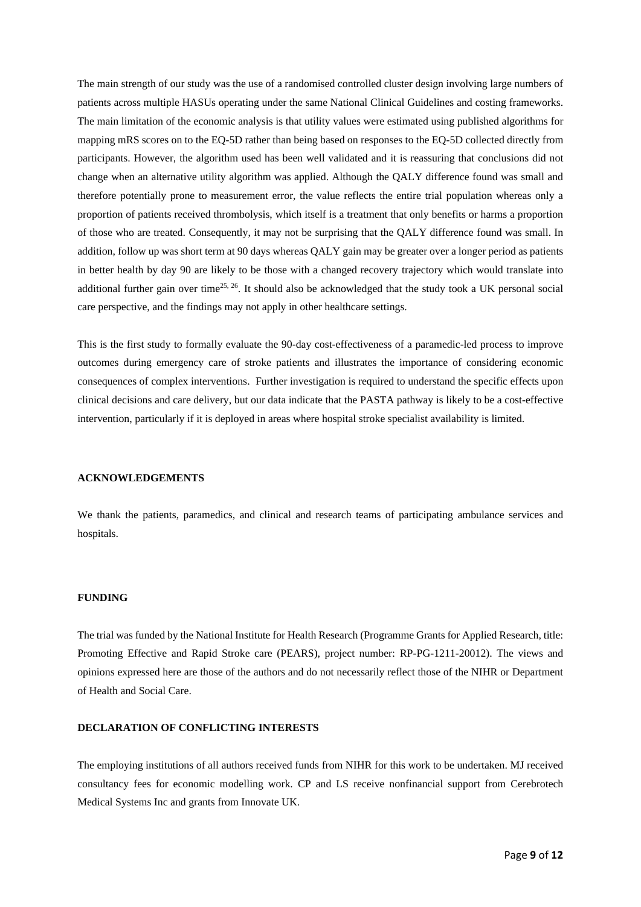The main strength of our study was the use of a randomised controlled cluster design involving large numbers of patients across multiple HASUs operating under the same National Clinical Guidelines and costing frameworks. The main limitation of the economic analysis is that utility values were estimated using published algorithms for mapping mRS scores on to the EQ-5D rather than being based on responses to the EQ-5D collected directly from participants. However, the algorithm used has been well validated and it is reassuring that conclusions did not change when an alternative utility algorithm was applied. Although the QALY difference found was small and therefore potentially prone to measurement error, the value reflects the entire trial population whereas only a proportion of patients received thrombolysis, which itself is a treatment that only benefits or harms a proportion of those who are treated. Consequently, it may not be surprising that the QALY difference found was small. In addition, follow up was short term at 90 days whereas QALY gain may be greater over a longer period as patients in better health by day 90 are likely to be those with a changed recovery trajectory which would translate into additional further gain over time<sup>25, 26</sup>. It should also be acknowledged that the study took a UK personal social care perspective, and the findings may not apply in other healthcare settings.

This is the first study to formally evaluate the 90-day cost-effectiveness of a paramedic-led process to improve outcomes during emergency care of stroke patients and illustrates the importance of considering economic consequences of complex interventions. Further investigation is required to understand the specific effects upon clinical decisions and care delivery, but our data indicate that the PASTA pathway is likely to be a cost-effective intervention, particularly if it is deployed in areas where hospital stroke specialist availability is limited.

## **ACKNOWLEDGEMENTS**

We thank the patients, paramedics, and clinical and research teams of participating ambulance services and hospitals.

#### **FUNDING**

The trial was funded by the National Institute for Health Research (Programme Grants for Applied Research, title: Promoting Effective and Rapid Stroke care (PEARS), project number: RP-PG-1211-20012). The views and opinions expressed here are those of the authors and do not necessarily reflect those of the NIHR or Department of Health and Social Care.

## **DECLARATION OF CONFLICTING INTERESTS**

The employing institutions of all authors received funds from NIHR for this work to be undertaken. MJ received consultancy fees for economic modelling work. CP and LS receive nonfinancial support from Cerebrotech Medical Systems Inc and grants from Innovate UK.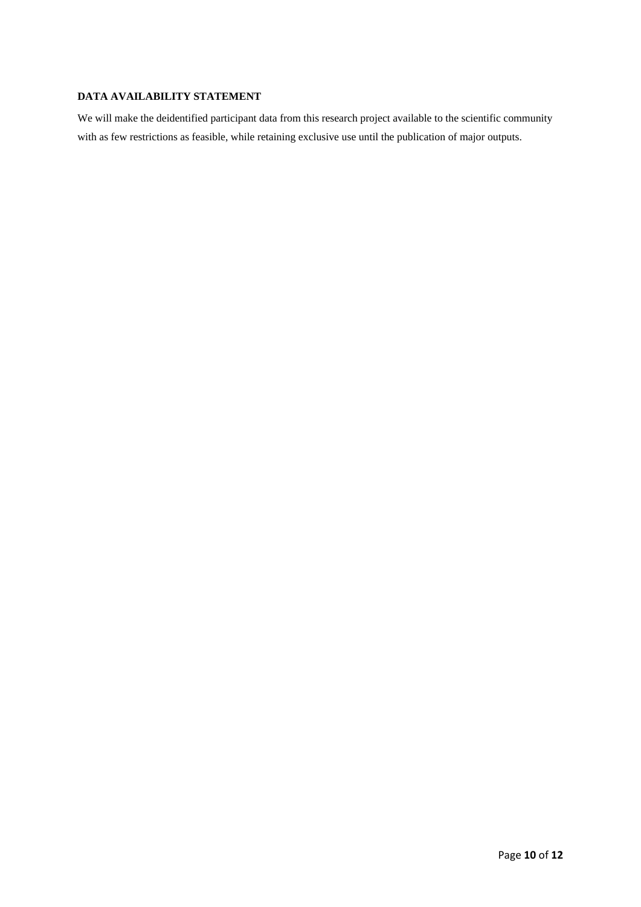## **DATA AVAILABILITY STATEMENT**

We will make the deidentified participant data from this research project available to the scientific community with as few restrictions as feasible, while retaining exclusive use until the publication of major outputs.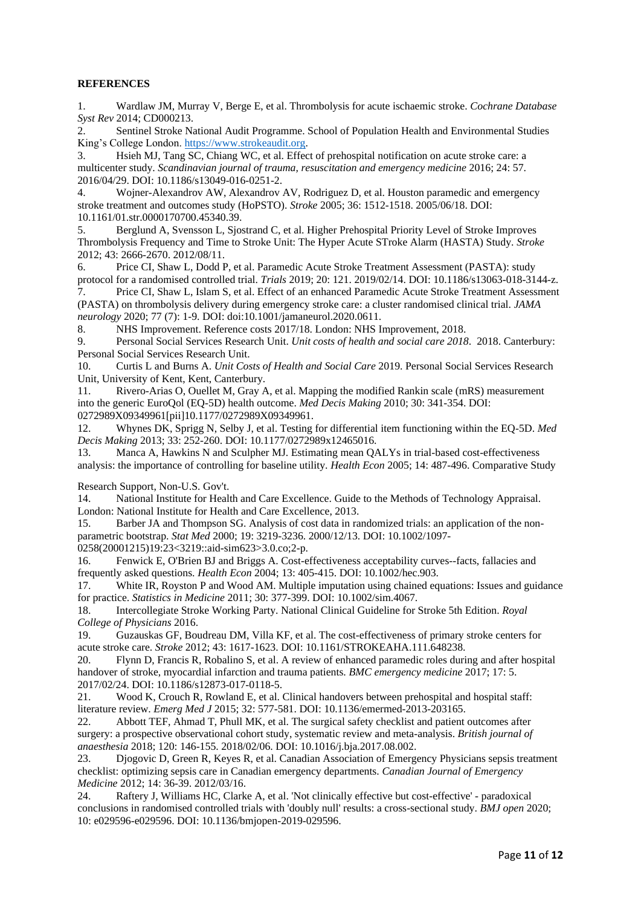## **REFERENCES**

1. Wardlaw JM, Murray V, Berge E, et al. Thrombolysis for acute ischaemic stroke. *Cochrane Database Syst Rev* 2014; CD000213.

2. Sentinel Stroke National Audit Programme. School of Population Health and Environmental Studies King's College London. [https://www.strokeaudit.org.](https://www.strokeaudit.org/)

3. Hsieh MJ, Tang SC, Chiang WC, et al. Effect of prehospital notification on acute stroke care: a multicenter study. *Scandinavian journal of trauma, resuscitation and emergency medicine* 2016; 24: 57. 2016/04/29. DOI: 10.1186/s13049-016-0251-2.

4. Wojner-Alexandrov AW, Alexandrov AV, Rodriguez D, et al. Houston paramedic and emergency stroke treatment and outcomes study (HoPSTO). *Stroke* 2005; 36: 1512-1518. 2005/06/18. DOI: 10.1161/01.str.0000170700.45340.39.

5. Berglund A, Svensson L, Sjostrand C, et al. Higher Prehospital Priority Level of Stroke Improves Thrombolysis Frequency and Time to Stroke Unit: The Hyper Acute STroke Alarm (HASTA) Study. *Stroke* 2012; 43: 2666-2670. 2012/08/11.

6. Price CI, Shaw L, Dodd P, et al. Paramedic Acute Stroke Treatment Assessment (PASTA): study protocol for a randomised controlled trial. *Trials* 2019; 20: 121. 2019/02/14. DOI: 10.1186/s13063-018-3144-z.

7. Price CI, Shaw L, Islam S, et al. Effect of an enhanced Paramedic Acute Stroke Treatment Assessment (PASTA) on thrombolysis delivery during emergency stroke care: a cluster randomised clinical trial. *JAMA neurology* 2020; 77 (7): 1-9. DOI: doi:10.1001/jamaneurol.2020.0611.

8. NHS Improvement. Reference costs 2017/18. London: NHS Improvement, 2018.

9. Personal Social Services Research Unit. *Unit costs of health and social care 2018*. 2018. Canterbury: Personal Social Services Research Unit.

10. Curtis L and Burns A. *Unit Costs of Health and Social Care* 2019. Personal Social Services Research Unit, University of Kent, Kent, Canterbury.

11. Rivero-Arias O, Ouellet M, Gray A, et al. Mapping the modified Rankin scale (mRS) measurement into the generic EuroQol (EQ-5D) health outcome. *Med Decis Making* 2010; 30: 341-354. DOI: 0272989X09349961[pii]10.1177/0272989X09349961.

12. Whynes DK, Sprigg N, Selby J, et al. Testing for differential item functioning within the EQ-5D. *Med Decis Making* 2013; 33: 252-260. DOI: 10.1177/0272989x12465016.

13. Manca A, Hawkins N and Sculpher MJ. Estimating mean QALYs in trial-based cost-effectiveness analysis: the importance of controlling for baseline utility. *Health Econ* 2005; 14: 487-496. Comparative Study

Research Support, Non-U.S. Gov't.

14. National Institute for Health and Care Excellence. Guide to the Methods of Technology Appraisal. London: National Institute for Health and Care Excellence, 2013.

15. Barber JA and Thompson SG. Analysis of cost data in randomized trials: an application of the nonparametric bootstrap. *Stat Med* 2000; 19: 3219-3236. 2000/12/13. DOI: 10.1002/1097-

0258(20001215)19:23<3219::aid-sim623>3.0.co;2-p.

16. Fenwick E, O'Brien BJ and Briggs A. Cost-effectiveness acceptability curves--facts, fallacies and frequently asked questions. *Health Econ* 2004; 13: 405-415. DOI: 10.1002/hec.903.

17. White IR, Royston P and Wood AM. Multiple imputation using chained equations: Issues and guidance for practice. *Statistics in Medicine* 2011; 30: 377-399. DOI: 10.1002/sim.4067.

18. Intercollegiate Stroke Working Party. National Clinical Guideline for Stroke 5th Edition. *Royal College of Physicians* 2016.

19. Guzauskas GF, Boudreau DM, Villa KF, et al. The cost-effectiveness of primary stroke centers for acute stroke care. *Stroke* 2012; 43: 1617-1623. DOI: 10.1161/STROKEAHA.111.648238.

20. Flynn D, Francis R, Robalino S, et al. A review of enhanced paramedic roles during and after hospital handover of stroke, myocardial infarction and trauma patients. *BMC emergency medicine* 2017; 17: 5. 2017/02/24. DOI: 10.1186/s12873-017-0118-5.<br>21. Wood K, Crouch R. Rowland E. et al.

Wood K, Crouch R, Rowland E, et al. Clinical handovers between prehospital and hospital staff: literature review. *Emerg Med J* 2015; 32: 577-581. DOI: 10.1136/emermed-2013-203165.

22. Abbott TEF, Ahmad T, Phull MK, et al. The surgical safety checklist and patient outcomes after surgery: a prospective observational cohort study, systematic review and meta-analysis. *British journal of anaesthesia* 2018; 120: 146-155. 2018/02/06. DOI: 10.1016/j.bja.2017.08.002.

23. Djogovic D, Green R, Keyes R, et al. Canadian Association of Emergency Physicians sepsis treatment checklist: optimizing sepsis care in Canadian emergency departments. *Canadian Journal of Emergency Medicine* 2012; 14: 36-39. 2012/03/16.

24. Raftery J, Williams HC, Clarke A, et al. 'Not clinically effective but cost-effective' - paradoxical conclusions in randomised controlled trials with 'doubly null' results: a cross-sectional study. *BMJ open* 2020; 10: e029596-e029596. DOI: 10.1136/bmjopen-2019-029596.